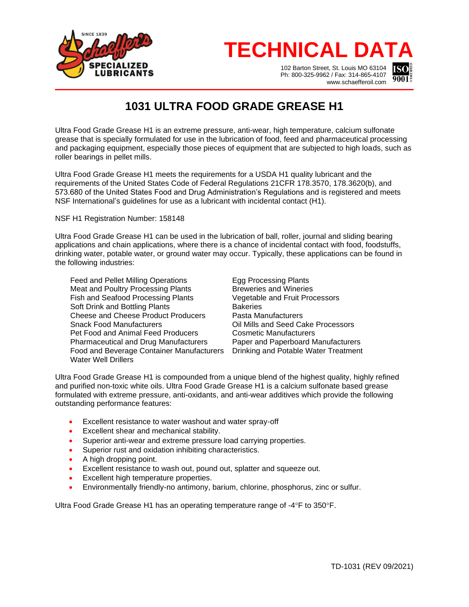

## **TECHNICAL DATA**

102 Barton Street, St. Louis MO 63104 Ph: 800-325-9962 / Fax: 314-865-4107 www.schaefferoil.com



## **1031 ULTRA FOOD GRADE GREASE H1**

Ultra Food Grade Grease H1 is an extreme pressure, anti-wear, high temperature, calcium sulfonate grease that is specially formulated for use in the lubrication of food, feed and pharmaceutical processing and packaging equipment, especially those pieces of equipment that are subjected to high loads, such as roller bearings in pellet mills.

Ultra Food Grade Grease H1 meets the requirements for a USDA H1 quality lubricant and the requirements of the United States Code of Federal Regulations 21CFR 178.3570, 178.3620(b), and 573.680 of the United States Food and Drug Administration's Regulations and is registered and meets NSF International's guidelines for use as a lubricant with incidental contact (H1).

NSF H1 Registration Number: 158148

Ultra Food Grade Grease H1 can be used in the lubrication of ball, roller, journal and sliding bearing applications and chain applications, where there is a chance of incidental contact with food, foodstuffs, drinking water, potable water, or ground water may occur. Typically, these applications can be found in the following industries:

Feed and Pellet Milling Operations Egg Processing Plants Meat and Poultry Processing Plants **Breweries** and Wineries Fish and Seafood Processing Plants Vegetable and Fruit Processors Soft Drink and Bottling Plants **Bakeries** Cheese and Cheese Product Producers Pasta Manufacturers<br>Snack Food Manufacturers Pasta Dil Mills and Seed Ca Pet Food and Animal Feed Producers Pharmaceutical and Drug Manufacturers Paper and Paperboard Manufacturers Food and Beverage Container Manufacturers Drinking and Potable Water Treatment Water Well Drillers

Oil Mills and Seed Cake Processors<br>Cosmetic Manufacturers

Ultra Food Grade Grease H1 is compounded from a unique blend of the highest quality, highly refined and purified non-toxic white oils. Ultra Food Grade Grease H1 is a calcium sulfonate based grease formulated with extreme pressure, anti-oxidants, and anti-wear additives which provide the following outstanding performance features:

- Excellent resistance to water washout and water spray-off
- Excellent shear and mechanical stability.
- Superior anti-wear and extreme pressure load carrying properties.
- Superior rust and oxidation inhibiting characteristics.
- A high dropping point.
- Excellent resistance to wash out, pound out, splatter and squeeze out.
- Excellent high temperature properties.
- Environmentally friendly-no antimony, barium, chlorine, phosphorus, zinc or sulfur.

Ultra Food Grade Grease H1 has an operating temperature range of  $-4^{\circ}$ F to 350°F.